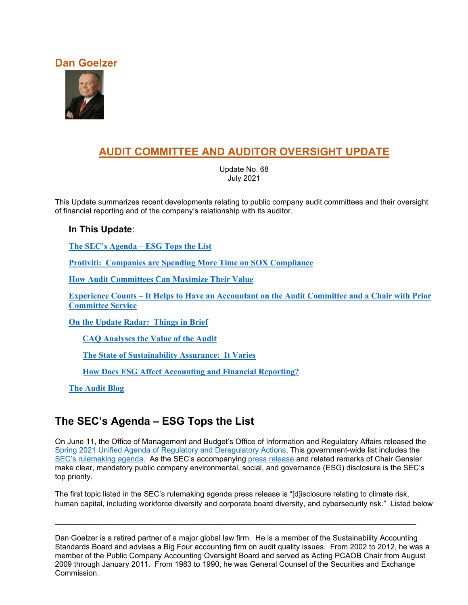### **Dan Goelzer**



# **AUDIT COMMITTEE AND AUDITOR OVERSIGHT UPDATE**

Update No. 68 July 2021

This Update summarizes recent developments relating to public company audit committees and their oversight of financial reporting and of the company's relationship with its auditor.

### **In This Update**:

**[The SEC's Agenda –](#page-0-0) ESG Tops the List**

**[Protiviti: Companies are Spending More Time on SOX Compliance](#page-2-0)**

**[How Audit Committees Can Maximize Their Value](#page-5-0)**

**Experience Counts – [It Helps to Have an Accountant on the Audit](#page-7-0) Committee and a Chair with Prior [Committee Service](#page-7-0)**

**[On the Update Radar: Things in Brief](#page-9-0)**

**[CAQ Analyses the Value of the Audit](#page-9-1)**

**[The State of Sustainability Assurance: It Varies](#page-10-0)**

**[How Does ESG Affect Accounting and Financial Reporting?](#page-10-1)**

**[The Audit Blog](#page-11-0)**

# <span id="page-0-0"></span>**The SEC's Agenda – ESG Tops the List**

On June 11, the Office of Management and Budget's Office of Information and Regulatory Affairs released the [Spring 2021 Unified Agenda of Regulatory and Deregulatory Actions.](https://www.reginfo.gov/public/do/eAgendaMain) This government-wide list includes the [SEC's rulemaking agenda.](https://www.reginfo.gov/public/do/eAgendaMain?operation=OPERATION_GET_AGENCY_RULE_LIST¤tPub=true&agencyCode=&showStage=active&agencyCd=3235&csrf_token=7CE97CC2D49C9B6B70868F7B2752E582C86F1945A4A46F34426C18AF1ABE101E611318F64B67159C3A36E7556BD0FB872C8F) As the SEC's accompanying [press release](https://www.sec.gov/news/press-release/2021-99) and related remarks of Chair Gensler make clear, mandatory public company environmental, social, and governance (ESG) disclosure is the SEC's top priority.

The first topic listed in the SEC's rulemaking agenda press release is "[d]isclosure relating to climate risk, human capital, including workforce diversity and corporate board diversity, and cybersecurity risk." Listed below

\_\_\_\_\_\_\_\_\_\_\_\_\_\_\_\_\_\_\_\_\_\_\_\_\_\_\_\_\_\_\_\_\_\_\_\_\_\_\_\_\_\_\_\_\_\_\_\_\_\_\_\_\_\_\_\_\_\_\_\_\_\_\_\_\_\_\_\_\_\_\_\_\_\_\_\_\_\_\_\_\_\_\_\_\_

Dan Goelzer is a retired partner of a major global law firm. He is a member of the Sustainability Accounting Standards Board and advises a Big Four accounting firm on audit quality issues. From 2002 to 2012, he was a member of the Public Company Accounting Oversight Board and served as Acting PCAOB Chair from August 2009 through January 2011. From 1983 to 1990, he was General Counsel of the Securities and Exchange Commission.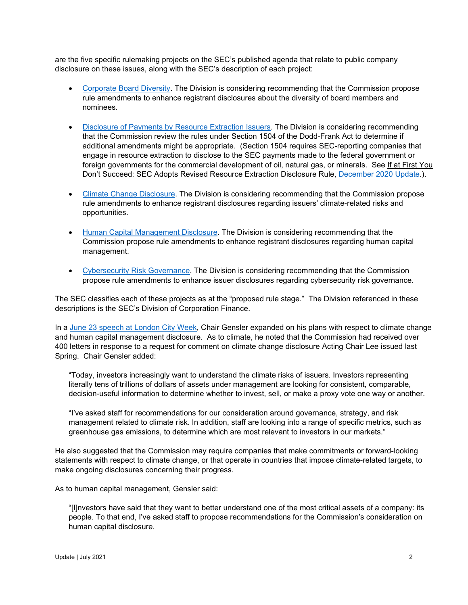are the five specific rulemaking projects on the SEC's published agenda that relate to public company disclosure on these issues, along with the SEC's description of each project:

- [Corporate Board Diversity.](https://www.reginfo.gov/public/do/eAgendaViewRule?pubId=202104&RIN=3235-AL91) The Division is considering recommending that the Commission propose rule amendments to enhance registrant disclosures about the diversity of board members and nominees.
- [Disclosure of Payments by Resource Extraction Issuers.](https://www.reginfo.gov/public/do/eAgendaViewRule?pubId=202104&RIN=3235-AM06) The Division is considering recommending that the Commission review the rules under Section 1504 of the Dodd-Frank Act to determine if additional amendments might be appropriate. (Section 1504 requires SEC-reporting companies that engage in resource extraction to disclose to the SEC payments made to the federal government or foreign governments for the commercial development of oil, natural gas, or minerals. See If at First You Don't Succeed: SEC Adopts Revised Resource Extraction Disclosure Rule, [December 2020 Update.\)](https://b65438bf-9321-45db-8f57-d57780f6c776.filesusr.com/ugd/6ebb47_055a2bf2728b4aeaaf8aad7728c53084.pdf).
- [Climate Change Disclosure.](https://www.reginfo.gov/public/do/eAgendaViewRule?pubId=202104&RIN=3235-AM87) The Division is considering recommending that the Commission propose rule amendments to enhance registrant disclosures regarding issuers' climate-related risks and opportunities.
- [Human Capital Management Disclosure.](https://www.reginfo.gov/public/do/eAgendaViewRule?pubId=202104&RIN=3235-AM88) The Division is considering recommending that the Commission propose rule amendments to enhance registrant disclosures regarding human capital management.
- [Cybersecurity Risk Governance.](https://www.reginfo.gov/public/do/eAgendaViewRule?pubId=202104&RIN=3235-AM89) The Division is considering recommending that the Commission propose rule amendments to enhance issuer disclosures regarding cybersecurity risk governance.

The SEC classifies each of these projects as at the "proposed rule stage." The Division referenced in these descriptions is the SEC's Division of Corporation Finance.

In a [June 23 speech at London City Week,](https://www.sec.gov/news/speech/gensler-speech-london-city-week-062321) Chair Gensler expanded on his plans with respect to climate change and human capital management disclosure. As to climate, he noted that the Commission had received over 400 letters in response to a request for comment on climate change disclosure Acting Chair Lee issued last Spring. Chair Gensler added:

"Today, investors increasingly want to understand the climate risks of issuers. Investors representing literally tens of trillions of dollars of assets under management are looking for consistent, comparable, decision-useful information to determine whether to invest, sell, or make a proxy vote one way or another.

"I've asked staff for recommendations for our consideration around governance, strategy, and risk management related to climate risk. In addition, staff are looking into a range of specific metrics, such as greenhouse gas emissions, to determine which are most relevant to investors in our markets."

He also suggested that the Commission may require companies that make commitments or forward-looking statements with respect to climate change, or that operate in countries that impose climate-related targets, to make ongoing disclosures concerning their progress.

As to human capital management, Gensler said:

"[I]nvestors have said that they want to better understand one of the most critical assets of a company: its people. To that end, I've asked staff to propose recommendations for the Commission's consideration on human capital disclosure.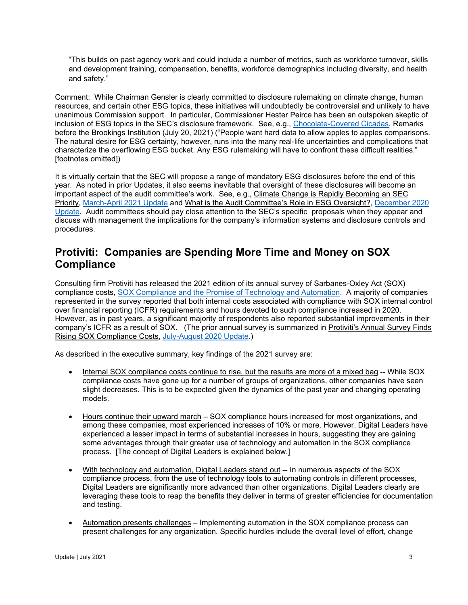"This builds on past agency work and could include a number of metrics, such as workforce turnover, skills and development training, compensation, benefits, workforce demographics including diversity, and health and safety."

Comment: While Chairman Gensler is clearly committed to disclosure rulemaking on climate change, human resources, and certain other ESG topics, these initiatives will undoubtedly be controversial and unlikely to have unanimous Commission support. In particular, Commissioner Hester Peirce has been an outspoken skeptic of inclusion of ESG topics in the SEC's disclosure framework. See, e.g., [Chocolate-Covered Cicadas,](https://www.sec.gov/news/speech/peirce-chocolate-covered-cicadas-072021) Remarks before the Brookings Institution (July 20, 2021) ("People want hard data to allow apples to apples comparisons. The natural desire for ESG certainty, however, runs into the many real-life uncertainties and complications that characterize the overflowing ESG bucket. Any ESG rulemaking will have to confront these difficult realities." [footnotes omitted])

It is virtually certain that the SEC will propose a range of mandatory ESG disclosures before the end of this year. As noted in prior Updates, it also seems inevitable that oversight of these disclosures will become an important aspect of the audit committee's work. See, e.g., Climate Change is Rapidly Becoming an SEC Priority, [March-April 2021 Update](https://b65438bf-9321-45db-8f57-d57780f6c776.filesusr.com/ugd/6ebb47_c0b287739bf746138df2c5f53687e31b.pdf) and What is the Audit Committee's Role in ESG Oversight?, [December 2020](https://b65438bf-9321-45db-8f57-d57780f6c776.filesusr.com/ugd/6ebb47_055a2bf2728b4aeaaf8aad7728c53084.pdf)  [Update.](https://b65438bf-9321-45db-8f57-d57780f6c776.filesusr.com/ugd/6ebb47_055a2bf2728b4aeaaf8aad7728c53084.pdf) Audit committees should pay close attention to the SEC's specific proposals when they appear and discuss with management the implications for the company's information systems and disclosure controls and procedures.

# <span id="page-2-0"></span>**Protiviti: Companies are Spending More Time and Money on SOX Compliance**

Consulting firm Protiviti has released the 2021 edition of its annual survey of Sarbanes-Oxley Act (SOX) compliance costs, [SOX Compliance and the Promise](https://www.protiviti.com/US-en/insights/sox-compliance-survey?utm_source=ProPress&utm_medium=PressRelease&utm_campaign=SOXSurvey2021) of Technology and Automation. A majority of companies represented in the survey reported that both internal costs associated with compliance with SOX internal control over financial reporting (ICFR) requirements and hours devoted to such compliance increased in 2020. However, as in past years, a significant majority of respondents also reported substantial improvements in their company's ICFR as a result of SOX. (The prior annual survey is summarized in Protiviti's Annual Survey Finds Rising SOX Compliance Costs, [July-August 2020](https://b65438bf-9321-45db-8f57-d57780f6c776.filesusr.com/ugd/6ebb47_c52f5649d2f843be94ae5acd22c6fdcd.pdf) Update.)

As described in the executive summary, key findings of the 2021 survey are:

- Internal SOX compliance costs continue to rise, but the results are more of a mixed bag -- While SOX compliance costs have gone up for a number of groups of organizations, other companies have seen slight decreases. This is to be expected given the dynamics of the past year and changing operating models.
- Hours continue their upward march SOX compliance hours increased for most organizations, and among these companies, most experienced increases of 10% or more. However, Digital Leaders have experienced a lesser impact in terms of substantial increases in hours, suggesting they are gaining some advantages through their greater use of technology and automation in the SOX compliance process. [The concept of Digital Leaders is explained below.]
- With technology and automation, Digital Leaders stand out -- In numerous aspects of the SOX compliance process, from the use of technology tools to automating controls in different processes, Digital Leaders are significantly more advanced than other organizations. Digital Leaders clearly are leveraging these tools to reap the benefits they deliver in terms of greater efficiencies for documentation and testing.
- Automation presents challenges Implementing automation in the SOX compliance process can present challenges for any organization. Specific hurdles include the overall level of effort, change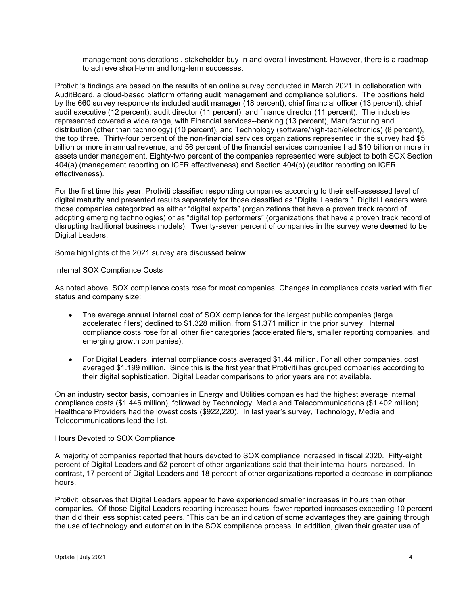management considerations , stakeholder buy-in and overall investment. However, there is a roadmap to achieve short-term and long-term successes.

Protiviti's findings are based on the results of an online survey conducted in March 2021 in collaboration with AuditBoard, a cloud-based platform offering audit management and compliance solutions. The positions held by the 660 survey respondents included audit manager (18 percent), chief financial officer (13 percent), chief audit executive (12 percent), audit director (11 percent), and finance director (11 percent). The industries represented covered a wide range, with Financial services--banking (13 percent), Manufacturing and distribution (other than technology) (10 percent), and Technology (software/high-tech/electronics) (8 percent), the top three. Thirty-four percent of the non-financial services organizations represented in the survey had \$5 billion or more in annual revenue, and 56 percent of the financial services companies had \$10 billion or more in assets under management. Eighty-two percent of the companies represented were subject to both SOX Section 404(a) (management reporting on ICFR effectiveness) and Section 404(b) (auditor reporting on ICFR effectiveness).

For the first time this year, Protiviti classified responding companies according to their self-assessed level of digital maturity and presented results separately for those classified as "Digital Leaders." Digital Leaders were those companies categorized as either "digital experts" (organizations that have a proven track record of adopting emerging technologies) or as "digital top performers" (organizations that have a proven track record of disrupting traditional business models). Twenty-seven percent of companies in the survey were deemed to be Digital Leaders.

Some highlights of the 2021 survey are discussed below.

#### Internal SOX Compliance Costs

As noted above, SOX compliance costs rose for most companies. Changes in compliance costs varied with filer status and company size:

- The average annual internal cost of SOX compliance for the largest public companies (large accelerated filers) declined to \$1.328 million, from \$1.371 million in the prior survey. Internal compliance costs rose for all other filer categories (accelerated filers, smaller reporting companies, and emerging growth companies).
- For Digital Leaders, internal compliance costs averaged \$1.44 million. For all other companies, cost averaged \$1.199 million. Since this is the first year that Protiviti has grouped companies according to their digital sophistication, Digital Leader comparisons to prior years are not available.

On an industry sector basis, companies in Energy and Utilities companies had the highest average internal compliance costs (\$1.446 million), followed by Technology, Media and Telecommunications (\$1.402 million). Healthcare Providers had the lowest costs (\$922,220). In last year's survey, Technology, Media and Telecommunications lead the list.

#### Hours Devoted to SOX Compliance

A majority of companies reported that hours devoted to SOX compliance increased in fiscal 2020. Fifty-eight percent of Digital Leaders and 52 percent of other organizations said that their internal hours increased. In contrast, 17 percent of Digital Leaders and 18 percent of other organizations reported a decrease in compliance hours.

Protiviti observes that Digital Leaders appear to have experienced smaller increases in hours than other companies. Of those Digital Leaders reporting increased hours, fewer reported increases exceeding 10 percent than did their less sophisticated peers. "This can be an indication of some advantages they are gaining through the use of technology and automation in the SOX compliance process. In addition, given their greater use of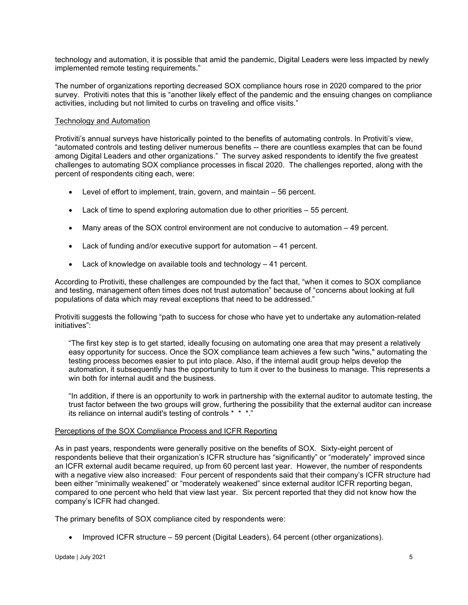technology and automation, it is possible that amid the pandemic, Digital Leaders were less impacted by newly implemented remote testing requirements."

The number of organizations reporting decreased SOX compliance hours rose in 2020 compared to the prior survey. Protiviti notes that this is "another likely effect of the pandemic and the ensuing changes on compliance activities, including but not limited to curbs on traveling and office visits."

#### Technology and Automation

Protiviti's annual surveys have historically pointed to the benefits of automating controls. In Protiviti's view, "automated controls and testing deliver numerous benefits -- there are countless examples that can be found among Digital Leaders and other organizations." The survey asked respondents to identify the five greatest challenges to automating SOX compliance processes in fiscal 2020. The challenges reported, along with the percent of respondents citing each, were:

- Level of effort to implement, train, govern, and maintain 56 percent.
- Lack of time to spend exploring automation due to other priorities 55 percent.
- Many areas of the SOX control environment are not conducive to automation 49 percent.
- Lack of funding and/or executive support for automation 41 percent.
- Lack of knowledge on available tools and technology 41 percent.

According to Protiviti, these challenges are compounded by the fact that, "when it comes to SOX compliance and testing, management often times does not trust automation" because of "concerns about looking at full populations of data which may reveal exceptions that need to be addressed."

Protiviti suggests the following "path to success for chose who have yet to undertake any automation-related initiatives":

"The first key step is to get started, ideally focusing on automating one area that may present a relatively easy opportunity for success. Once the SOX compliance team achieves a few such "wins," automating the testing process becomes easier to put into place. Also, if the internal audit group helps develop the automation, it subsequently has the opportunity to tum it over to the business to manage. This represents a win both for internal audit and the business.

"In addition, if there is an opportunity to work in partnership with the external auditor to automate testing, the trust factor between the two groups will grow, furthering the possibility that the external auditor can increase its reliance on internal audit's testing of controls \* \* \*."

#### Perceptions of the SOX Compliance Process and ICFR Reporting

As in past years, respondents were generally positive on the benefits of SOX. Sixty-eight percent of respondents believe that their organization's ICFR structure has "significantly" or "moderately" improved since an ICFR external audit became required, up from 60 percent last year. However, the number of respondents with a negative view also increased: Four percent of respondents said that their company's ICFR structure had been either "minimally weakened" or "moderately weakened" since external auditor ICFR reporting began, compared to one percent who held that view last year. Six percent reported that they did not know how the company's ICFR had changed.

The primary benefits of SOX compliance cited by respondents were:

• Improved ICFR structure – 59 percent (Digital Leaders), 64 percent (other organizations).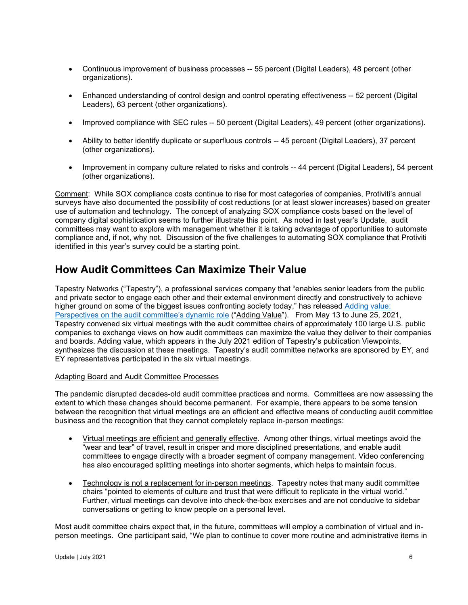- Continuous improvement of business processes -- 55 percent (Digital Leaders), 48 percent (other organizations).
- Enhanced understanding of control design and control operating effectiveness -- 52 percent (Digital Leaders), 63 percent (other organizations).
- Improved compliance with SEC rules -- 50 percent (Digital Leaders), 49 percent (other organizations).
- Ability to better identify duplicate or superfluous controls -- 45 percent (Digital Leaders), 37 percent (other organizations).
- Improvement in company culture related to risks and controls -- 44 percent (Digital Leaders), 54 percent (other organizations).

Comment: While SOX compliance costs continue to rise for most categories of companies, Protiviti's annual surveys have also documented the possibility of cost reductions (or at least slower increases) based on greater use of automation and technology. The concept of analyzing SOX compliance costs based on the level of company digital sophistication seems to further illustrate this point. As noted in last year's Update, audit committees may want to explore with management whether it is taking advantage of opportunities to automate compliance and, if not, why not. Discussion of the five challenges to automating SOX compliance that Protiviti identified in this year's survey could be a starting point.

### <span id="page-5-0"></span>**How Audit Committees Can Maximize Their Value**

Tapestry Networks ("Tapestry"), a professional services company that "enables senior leaders from the public and private sector to engage each other and their external environment directly and constructively to achieve higher ground on some of the biggest issues confronting society today," has released Adding value: [Perspectives on the audit committee's dynamic role](https://www.tapestrynetworks.com/publications/adding-value-perspectives-on-the-audit-committees-dynamic-role) ("Adding Value"). From May 13 to June 25, 2021, Tapestry convened six virtual meetings with the audit committee chairs of approximately 100 large U.S. public companies to exchange views on how audit committees can maximize the value they deliver to their companies and boards. Adding value, which appears in the July 2021 edition of Tapestry's publication Viewpoints, synthesizes the discussion at these meetings. Tapestry's audit committee networks are sponsored by EY, and EY representatives participated in the six virtual meetings.

#### Adapting Board and Audit Committee Processes

The pandemic disrupted decades-old audit committee practices and norms. Committees are now assessing the extent to which these changes should become permanent. For example, there appears to be some tension between the recognition that virtual meetings are an efficient and effective means of conducting audit committee business and the recognition that they cannot completely replace in-person meetings:

- Virtual meetings are efficient and generally effective. Among other things, virtual meetings avoid the "wear and tear" of travel, result in crisper and more disciplined presentations, and enable audit committees to engage directly with a broader segment of company management. Video conferencing has also encouraged splitting meetings into shorter segments, which helps to maintain focus.
- Technology is not a replacement for in-person meetings. Tapestry notes that many audit committee chairs "pointed to elements of culture and trust that were difficult to replicate in the virtual world." Further, virtual meetings can devolve into check-the-box exercises and are not conducive to sidebar conversations or getting to know people on a personal level.

Most audit committee chairs expect that, in the future, committees will employ a combination of virtual and inperson meetings. One participant said, "We plan to continue to cover more routine and administrative items in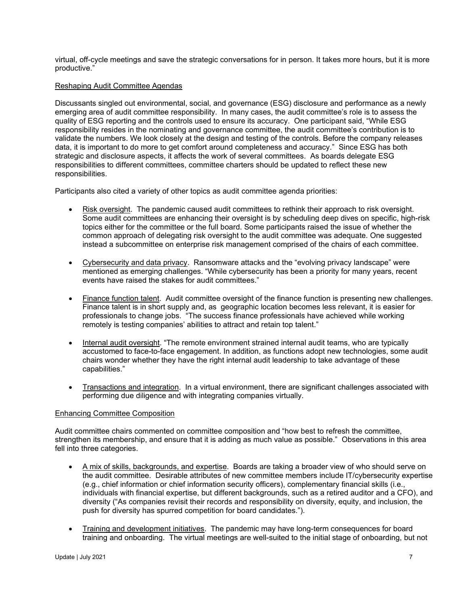virtual, off-cycle meetings and save the strategic conversations for in person. It takes more hours, but it is more productive."

#### Reshaping Audit Committee Agendas

Discussants singled out environmental, social, and governance (ESG) disclosure and performance as a newly emerging area of audit committee responsibility. In many cases, the audit committee's role is to assess the quality of ESG reporting and the controls used to ensure its accuracy. One participant said, "While ESG responsibility resides in the nominating and governance committee, the audit committee's contribution is to validate the numbers. We look closely at the design and testing of the controls. Before the company releases data, it is important to do more to get comfort around completeness and accuracy." Since ESG has both strategic and disclosure aspects, it affects the work of several committees. As boards delegate ESG responsibilities to different committees, committee charters should be updated to reflect these new responsibilities.

Participants also cited a variety of other topics as audit committee agenda priorities:

- Risk oversight. The pandemic caused audit committees to rethink their approach to risk oversight. Some audit committees are enhancing their oversight is by scheduling deep dives on specific, high-risk topics either for the committee or the full board. Some participants raised the issue of whether the common approach of delegating risk oversight to the audit committee was adequate. One suggested instead a subcommittee on enterprise risk management comprised of the chairs of each committee.
- Cybersecurity and data privacy. Ransomware attacks and the "evolving privacy landscape" were mentioned as emerging challenges. "While cybersecurity has been a priority for many years, recent events have raised the stakes for audit committees."
- Finance function talent. Audit committee oversight of the finance function is presenting new challenges. Finance talent is in short supply and, as geographic location becomes less relevant, it is easier for professionals to change jobs. "The success finance professionals have achieved while working remotely is testing companies' abilities to attract and retain top talent."
- Internal audit oversight. "The remote environment strained internal audit teams, who are typically accustomed to face-to-face engagement. In addition, as functions adopt new technologies, some audit chairs wonder whether they have the right internal audit leadership to take advantage of these capabilities."
- Transactions and integration. In a virtual environment, there are significant challenges associated with performing due diligence and with integrating companies virtually.

#### Enhancing Committee Composition

Audit committee chairs commented on committee composition and "how best to refresh the committee, strengthen its membership, and ensure that it is adding as much value as possible." Observations in this area fell into three categories.

- A mix of skills, backgrounds, and expertise. Boards are taking a broader view of who should serve on the audit committee. Desirable attributes of new committee members include IT/cybersecurity expertise (e.g., chief information or chief information security officers), complementary financial skills (i.e., individuals with financial expertise, but different backgrounds, such as a retired auditor and a CFO), and diversity ("As companies revisit their records and responsibility on diversity, equity, and inclusion, the push for diversity has spurred competition for board candidates.").
- Training and development initiatives. The pandemic may have long-term consequences for board training and onboarding. The virtual meetings are well-suited to the initial stage of onboarding, but not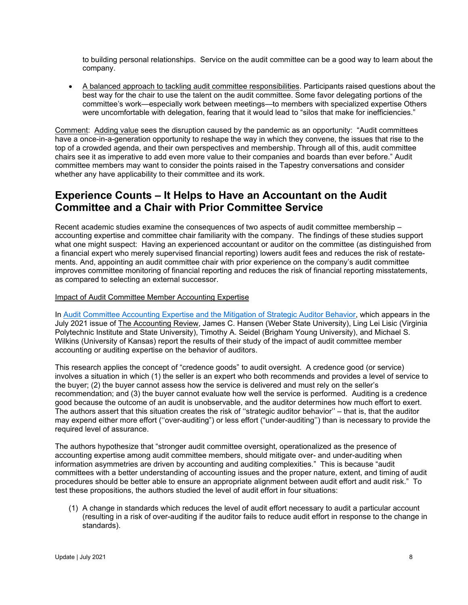to building personal relationships. Service on the audit committee can be a good way to learn about the company.

• A balanced approach to tackling audit committee responsibilities. Participants raised questions about the best way for the chair to use the talent on the audit committee. Some favor delegating portions of the committee's work—especially work between meetings—to members with specialized expertise Others were uncomfortable with delegation, fearing that it would lead to "silos that make for inefficiencies."

Comment: Adding value sees the disruption caused by the pandemic as an opportunity: "Audit committees have a once-in-a-generation opportunity to reshape the way in which they convene, the issues that rise to the top of a crowded agenda, and their own perspectives and membership. Through all of this, audit committee chairs see it as imperative to add even more value to their companies and boards than ever before." Audit committee members may want to consider the points raised in the Tapestry conversations and consider whether any have applicability to their committee and its work.

# <span id="page-7-0"></span>**Experience Counts – It Helps to Have an Accountant on the Audit Committee and a Chair with Prior Committee Service**

Recent academic studies examine the consequences of two aspects of audit committee membership – accounting expertise and committee chair familiarity with the company. The findings of these studies support what one might suspect: Having an experienced accountant or auditor on the committee (as distinguished from a financial expert who merely supervised financial reporting) lowers audit fees and reduces the risk of restatements. And, appointing an audit committee chair with prior experience on the company's audit committee improves committee monitoring of financial reporting and reduces the risk of financial reporting misstatements, as compared to selecting an external successor.

#### Impact of Audit Committee Member Accounting Expertise

In [Audit Committee Accounting Expertise and the Mitigation of Strategic Auditor Behavior,](https://meridian.allenpress.com/accounting-review/article-abstract/96/4/289/445933/Audit-Committee-Accounting-Expertise-and-the?redirectedFrom=fulltext) which appears in the July 2021 issue of The Accounting Review, James C. Hansen (Weber State University), Ling Lei Lisic (Virginia Polytechnic Institute and State University), Timothy A. Seidel (Brigham Young University), and Michael S. Wilkins (University of Kansas) report the results of their study of the impact of audit committee member accounting or auditing expertise on the behavior of auditors.

This research applies the concept of "credence goods" to audit oversight. A credence good (or service) involves a situation in which (1) the seller is an expert who both recommends and provides a level of service to the buyer; (2) the buyer cannot assess how the service is delivered and must rely on the seller's recommendation; and (3) the buyer cannot evaluate how well the service is performed. Auditing is a credence good because the outcome of an audit is unobservable, and the auditor determines how much effort to exert. The authors assert that this situation creates the risk of ''strategic auditor behavior'' – that is, that the auditor may expend either more effort (''over-auditing") or less effort ("under-auditing'') than is necessary to provide the required level of assurance.

The authors hypothesize that "stronger audit committee oversight, operationalized as the presence of accounting expertise among audit committee members, should mitigate over- and under-auditing when information asymmetries are driven by accounting and auditing complexities." This is because "audit committees with a better understanding of accounting issues and the proper nature, extent, and timing of audit procedures should be better able to ensure an appropriate alignment between audit effort and audit risk." To test these propositions, the authors studied the level of audit effort in four situations:

(1) A change in standards which reduces the level of audit effort necessary to audit a particular account (resulting in a risk of over-auditing if the auditor fails to reduce audit effort in response to the change in standards).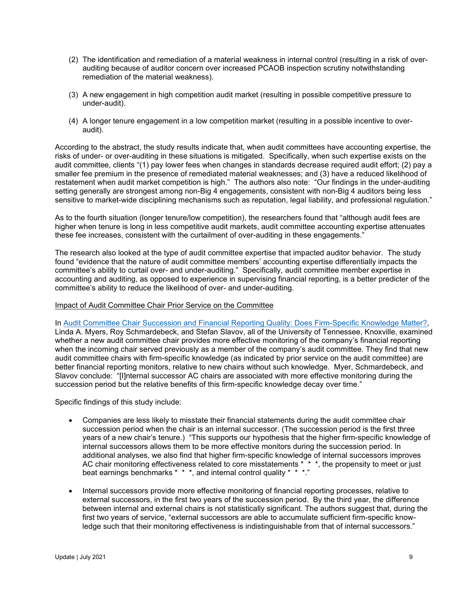- (2) The identification and remediation of a material weakness in internal control (resulting in a risk of overauditing because of auditor concern over increased PCAOB inspection scrutiny notwithstanding remediation of the material weakness).
- (3) A new engagement in high competition audit market (resulting in possible competitive pressure to under-audit).
- (4) A longer tenure engagement in a low competition market (resulting in a possible incentive to overaudit).

According to the abstract, the study results indicate that, when audit committees have accounting expertise, the risks of under- or over-auditing in these situations is mitigated. Specifically, when such expertise exists on the audit committee, clients "(1) pay lower fees when changes in standards decrease required audit effort; (2) pay a smaller fee premium in the presence of remediated material weaknesses; and (3) have a reduced likelihood of restatement when audit market competition is high." The authors also note: "Our findings in the under-auditing setting generally are strongest among non-Big 4 engagements, consistent with non-Big 4 auditors being less sensitive to market-wide disciplining mechanisms such as reputation, legal liability, and professional regulation."

As to the fourth situation (longer tenure/low competition), the researchers found that "although audit fees are higher when tenure is long in less competitive audit markets, audit committee accounting expertise attenuates these fee increases, consistent with the curtailment of over-auditing in these engagements."

The research also looked at the type of audit committee expertise that impacted auditor behavior. The study found "evidence that the nature of audit committee members' accounting expertise differentially impacts the committee's ability to curtail over- and under-auditing." Specifically, audit committee member expertise in accounting and auditing, as opposed to experience in supervising financial reporting, is a better predicter of the committee's ability to reduce the likelihood of over- and under-auditing.

#### Impact of Audit Committee Chair Prior Service on the Committee

In [Audit Committee Chair Succession and Financial Reporting Quality: Does Firm-Specific Knowledge Matter?,](https://papers.ssrn.com/sol3/papers.cfm?abstract_id=3839962) Linda A. Myers, Roy Schmardebeck, and Stefan Slavov, all of the University of Tennessee, Knoxville, examined whether a new audit committee chair provides more effective monitoring of the company's financial reporting when the incoming chair served previously as a member of the company's audit committee. They find that new audit committee chairs with firm-specific knowledge (as indicated by prior service on the audit committee) are better financial reporting monitors, relative to new chairs without such knowledge. Myer, Schmardebeck, and Slavov conclude: "[I]nternal successor AC chairs are associated with more effective monitoring during the succession period but the relative benefits of this firm-specific knowledge decay over time."

Specific findings of this study include:

- Companies are less likely to misstate their financial statements during the audit committee chair succession period when the chair is an internal successor. (The succession period is the first three years of a new chair's tenure.) "This supports our hypothesis that the higher firm-specific knowledge of internal successors allows them to be more effective monitors during the succession period. In additional analyses, we also find that higher firm-specific knowledge of internal successors improves AC chair monitoring effectiveness related to core misstatements \* \* \*, the propensity to meet or just beat earnings benchmarks \* \* \*, and internal control quality \* \* \*."
- Internal successors provide more effective monitoring of financial reporting processes, relative to external successors, in the first two years of the succession period. By the third year, the difference between internal and external chairs is not statistically significant. The authors suggest that, during the first two years of service, "external successors are able to accumulate sufficient firm-specific knowledge such that their monitoring effectiveness is indistinguishable from that of internal successors."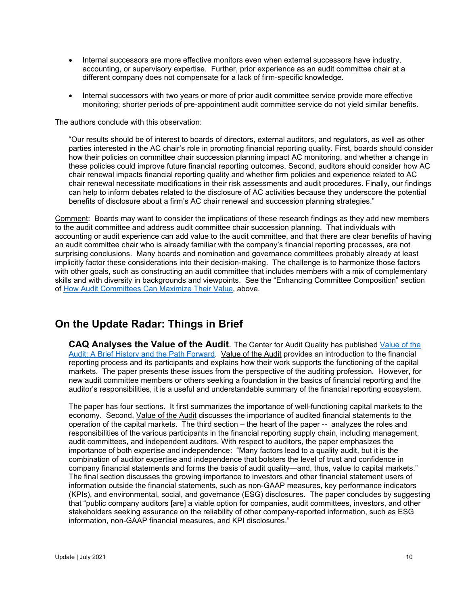- Internal successors are more effective monitors even when external successors have industry, accounting, or supervisory expertise. Further, prior experience as an audit committee chair at a different company does not compensate for a lack of firm-specific knowledge.
- Internal successors with two years or more of prior audit committee service provide more effective monitoring; shorter periods of pre-appointment audit committee service do not yield similar benefits.

The authors conclude with this observation:

"Our results should be of interest to boards of directors, external auditors, and regulators, as well as other parties interested in the AC chair's role in promoting financial reporting quality. First, boards should consider how their policies on committee chair succession planning impact AC monitoring, and whether a change in these policies could improve future financial reporting outcomes. Second, auditors should consider how AC chair renewal impacts financial reporting quality and whether firm policies and experience related to AC chair renewal necessitate modifications in their risk assessments and audit procedures. Finally, our findings can help to inform debates related to the disclosure of AC activities because they underscore the potential benefits of disclosure about a firm's AC chair renewal and succession planning strategies."

Comment: Boards may want to consider the implications of these research findings as they add new members to the audit committee and address audit committee chair succession planning. That individuals with accounting or audit experience can add value to the audit committee, and that there are clear benefits of having an audit committee chair who is already familiar with the company's financial reporting processes, are not surprising conclusions. Many boards and nomination and governance committees probably already at least implicitly factor these considerations into their decision-making. The challenge is to harmonize those factors with other goals, such as constructing an audit committee that includes members with a mix of complementary skills and with diversity in backgrounds and viewpoints. See the "Enhancing Committee Composition" section of [How Audit Committees Can Maximize Their Value,](#page-5-0) above.

### <span id="page-9-0"></span>**On the Update Radar: Things in Brief**

<span id="page-9-1"></span>**CAQ Analyses the Value of the Audit**. The Center for Audit Quality has published [Value of the](https://www.thecaq.org/wp-content/uploads/2021/06/caq_value-of-the-audit_2021-06-B.pdf)  [Audit: A Brief History and the Path Forward.](https://www.thecaq.org/wp-content/uploads/2021/06/caq_value-of-the-audit_2021-06-B.pdf) Value of the Audit provides an introduction to the financial reporting process and its participants and explains how their work supports the functioning of the capital markets. The paper presents these issues from the perspective of the auditing profession. However, for new audit committee members or others seeking a foundation in the basics of financial reporting and the auditor's responsibilities, it is a useful and understandable summary of the financial reporting ecosystem.

The paper has four sections. It first summarizes the importance of well-functioning capital markets to the economy. Second, Value of the Audit discusses the importance of audited financial statements to the operation of the capital markets. The third section – the heart of the paper -- analyzes the roles and responsibilities of the various participants in the financial reporting supply chain, including management, audit committees, and independent auditors. With respect to auditors, the paper emphasizes the importance of both expertise and independence: "Many factors lead to a quality audit, but it is the combination of auditor expertise and independence that bolsters the level of trust and confidence in company financial statements and forms the basis of audit quality—and, thus, value to capital markets." The final section discusses the growing importance to investors and other financial statement users of information outside the financial statements, such as non-GAAP measures, key performance indicators (KPIs), and environmental, social, and governance (ESG) disclosures. The paper concludes by suggesting that "public company auditors [are] a viable option for companies, audit committees, investors, and other stakeholders seeking assurance on the reliability of other company-reported information, such as ESG information, non-GAAP financial measures, and KPI disclosures."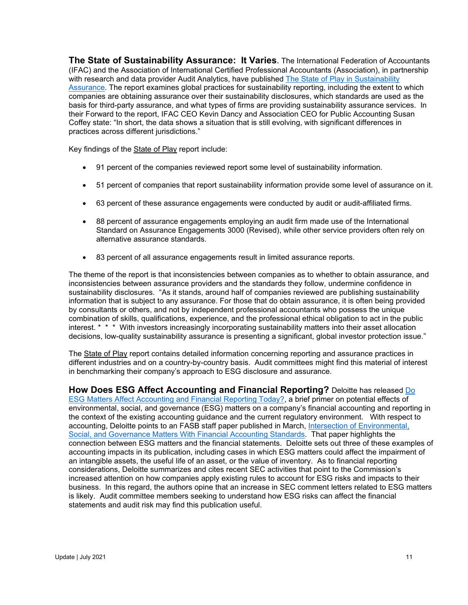<span id="page-10-0"></span>**The State of Sustainability Assurance: It Varies**. The International Federation of Accountants (IFAC) and the Association of International Certified Professional Accountants (Association), in partnership with research and data provider Audit Analytics, have published The State of Play in Sustainability [Assurance.](https://www.aicpa.org/content/dam/aicpa/interestareas/frc/assuranceadvisoryservices/downloadabledocuments/auditdatastandards/ifac-sustainability-assurance-reporting-final.pdf) The report examines global practices for sustainability reporting, including the extent to which companies are obtaining assurance over their sustainability disclosures, which standards are used as the basis for third-party assurance, and what types of firms are providing sustainability assurance services. In their Forward to the report, IFAC CEO Kevin Dancy and Association CEO for Public Accounting Susan Coffey state: "In short, the data shows a situation that is still evolving, with significant differences in practices across different jurisdictions."

Key findings of the State of Play report include:

- 91 percent of the companies reviewed report some level of sustainability information.
- 51 percent of companies that report sustainability information provide some level of assurance on it.
- 63 percent of these assurance engagements were conducted by audit or audit-affiliated firms.
- 88 percent of assurance engagements employing an audit firm made use of the International Standard on Assurance Engagements 3000 (Revised), while other service providers often rely on alternative assurance standards.
- 83 percent of all assurance engagements result in limited assurance reports.

The theme of the report is that inconsistencies between companies as to whether to obtain assurance, and inconsistencies between assurance providers and the standards they follow, undermine confidence in sustainability disclosures. "As it stands, around half of companies reviewed are publishing sustainability information that is subject to any assurance. For those that do obtain assurance, it is often being provided by consultants or others, and not by independent professional accountants who possess the unique combination of skills, qualifications, experience, and the professional ethical obligation to act in the public interest. \* \* \* With investors increasingly incorporating sustainability matters into their asset allocation decisions, low-quality sustainability assurance is presenting a significant, global investor protection issue."

The State of Play report contains detailed information concerning reporting and assurance practices in different industries and on a country-by-country basis. Audit committees might find this material of interest in benchmarking their company's approach to ESG disclosure and assurance.

<span id="page-10-1"></span>**How Does ESG Affect Accounting and Financial Reporting?** Deloitte has released [Do](https://dart.deloitte.com/USDART/home/publications/deloitte/heads-up/2021/esg-affect-financial-reporting)  [ESG Matters Affect Accounting and Financial Reporting Today?,](https://dart.deloitte.com/USDART/home/publications/deloitte/heads-up/2021/esg-affect-financial-reporting) a brief primer on potential effects of environmental, social, and governance (ESG) matters on a company's financial accounting and reporting in the context of the existing accounting guidance and the current regulatory environment. With respect to accounting, Deloitte points to an FASB staff paper published in March, [Intersection of Environmental,](https://fasb.org/cs/BlobServer?blobkey=id&blobnocache=true&blobwhere=1175836268408&blobheader=application%2Fpdf&blobheadername2=Content-Length&blobheadername1=Content-Disposition&blobheadervalue2=333644&blobheadervalue1=filename%3DFASB_Staff_ESG_Educational_Paper_FINAL.pdf&blobcol=urldata&blobtable=MungoBlobs)  [Social, and Governance Matters With Financial Accounting Standards.](https://fasb.org/cs/BlobServer?blobkey=id&blobnocache=true&blobwhere=1175836268408&blobheader=application%2Fpdf&blobheadername2=Content-Length&blobheadername1=Content-Disposition&blobheadervalue2=333644&blobheadervalue1=filename%3DFASB_Staff_ESG_Educational_Paper_FINAL.pdf&blobcol=urldata&blobtable=MungoBlobs) That paper highlights the connection between ESG matters and the financial statements. Deloitte sets out three of these examples of accounting impacts in its publication, including cases in which ESG matters could affect the impairment of an intangible assets, the useful life of an asset, or the value of inventory. As to financial reporting considerations, Deloitte summarizes and cites recent SEC activities that point to the Commission's increased attention on how companies apply existing rules to account for ESG risks and impacts to their business. In this regard, the authors opine that an increase in SEC comment letters related to ESG matters is likely. Audit committee members seeking to understand how ESG risks can affect the financial statements and audit risk may find this publication useful.